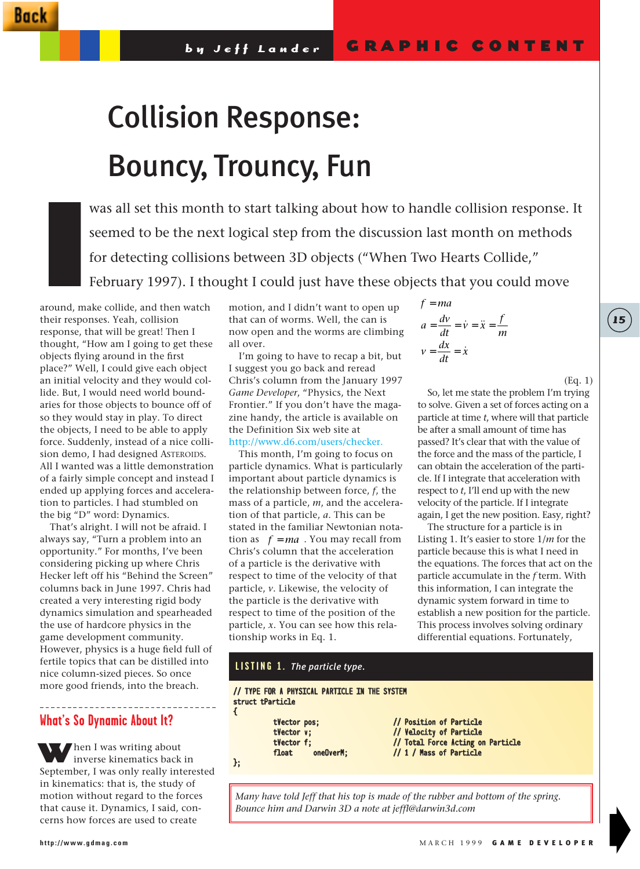# Collision Response: Bouncy, Trouncy, Fun

was all set this month to start talking about how to handle collision response. It seemed to be the next logical step from the discussion last month on methods for detecting collisions between 3D objects ("When Two Hearts Collide," February 1997). I thought I could just have these objects that you could move

around, make collide, and then watch their responses. Yeah, collision response, that will be great! Then I thought, "How am I going to get these objects flying around in the first place?" Well, I could give each object an initial velocity and they would collide. But, I would need world boundaries for those objects to bounce off of so they would stay in play. To direct the objects, I need to be able to apply force. Suddenly, instead of a nice collision demo, I had designed ASTEROIDS. All I wanted was a little demonstration of a fairly simple concept and instead I ended up applying forces and acceleration to particles. I had stumbled on the big "D" word: Dynamics. around, ma

That's alright. I will not be afraid. I always say, "Turn a problem into an opportunity." For months, I've been considering picking up where Chris Hecker left off his "Behind the Screen" columns back in June 1997. Chris had created a very interesting rigid body dynamics simulation and spearheaded the use of hardcore physics in the game development community. However, physics is a huge field full of fertile topics that can be distilled into nice column-sized pieces. So once more good friends, into the breach.

# **What's So Dynamic About It?**

When I was writing about inverse kinematics back in September, I was only really interested in kinematics: that is, the study of motion without regard to the forces that cause it. Dynamics, I said, concerns how forces are used to create

motion, and I didn't want to open up that can of worms. Well, the can is now open and the worms are climbing all over.

I'm going to have to recap a bit, but I suggest you go back and reread Chris's column from the January 1997 *Game Developer*, "Physics, the Next Frontier." If you don't have the magazine handy, the article is available on the Definition Six web site at http://www.d6.com/users/checker.

This month, I'm going to focus on particle dynamics. What is particularly important about particle dynamics is the relationship between force, *f*, the mass of a particle, *m*, and the acceleration of that particle, *a*. This can be stated in the familiar Newtonian nota- $\text{tion as} \quad f = ma$ . You may recall from Chris's column that the acceleration of a particle is the derivative with respect to time of the velocity of that particle, *v*. Likewise, the velocity of the particle is the derivative with respect to time of the position of the particle, *x*. You can see how this relationship works in Eq. 1.

$$
f = ma
$$
  
\n
$$
a = \frac{dv}{dt} = \dot{v} = \ddot{x} = \frac{f}{m}
$$
  
\n
$$
v = \frac{dx}{dt} = \dot{x}
$$

(Eq. 1)

**15**

So, let me state the problem I'm trying to solve. Given a set of forces acting on a particle at time *t*, where will that particle be after a small amount of time has passed? It's clear that with the value of the force and the mass of the particle, I can obtain the acceleration of the particle. If I integrate that acceleration with respect to *t*, I'll end up with the new velocity of the particle. If I integrate again, I get the new position. Easy, right?

The structure for a particle is in Listing 1. It's easier to store 1/*m* for the particle because this is what I need in the equations. The forces that act on the particle accumulate in the *f* term. With this information, I can integrate the dynamic system forward in time to establish a new position for the particle. This process involves solving ordinary differential equations. Fortunately,

# // TYPE FOR A PHYSICAL PARTICLE IN THE SYSTEM struct tParticle { tVector pos; // Position of Particle tVector v; // Velocity of Particle<br>tVector f; // Total Force Acting or tVector f; // Total Force Acting on Particle<br>float oneOverM; // 1 / Mass of Particle // 1 / Mass of Particle }; **LISTING 1.** *The particle type.*

*Many have told Jeff that his top is made of the rubber and bottom of the spring. Bounce him and Darwin 3D a note at jeffl@darwin3d.com*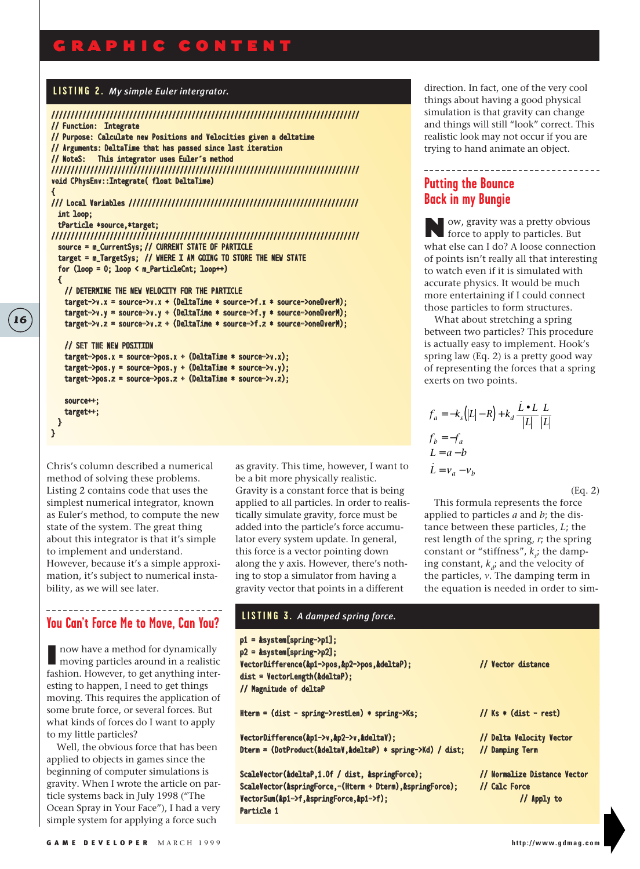# GRAPHIC CONTENT

#### **LISTING 2.** *My simple Euler intergrator.*

```
///////////////////////////////////////////////////////////////////////////////
// Function: Integrate 
// Purpose: Calculate new Positions and Velocities given a deltatime
// Arguments: DeltaTime that has passed since last iteration
// NoteS: This integrator uses Euler's method
///////////////////////////////////////////////////////////////////////////////
void CPhysEnv::Integrate( float DeltaTime)
{
/// Local Variables ///////////////////////////////////////////////////////////
  int loop;
  tParticle *source,*target;
///////////////////////////////////////////////////////////////////////////////
  source = m_CurrentSys; // CURRENT STATE OF PARTICLE
  target = m_TargetSys; // WHERE I AM GOING TO STORE THE NEW STATE
  for (loop = 0; loop < m_ParticleCnt; loop++)
  {
   // DETERMINE THE NEW VELOCITY FOR THE PARTICLE
   target->v.x = source->v.x + (DeltaTime * source->f.x * source->oneOverM);
   target->v.y = source->v.y + (DeltaTime * source->f.y * source->oneOverM);target->v.z = source->v.z + (DeltaTime * source->f.z * source->onelverM);// SET THE NEW POSITION
   target->pos.x = source->pos.x + (DeltaTime * source->v.x);target->pos.y = source->pos.y + (DeltaTime * source->v.y);
   target->pos.z = source->pos.z + (DeltaTime * source->v.z);
   source++;
   target++;
  }
}
```
Chris's column described a numerical method of solving these problems. Listing 2 contains code that uses the simplest numerical integrator, known as Euler's method, to compute the new state of the system. The great thing about this integrator is that it's simple to implement and understand. However, because it's a simple approximation, it's subject to numerical instability, as we will see later.

# **You Can't Force Me to Move, Can You?**

I now have a method for dynamically moving particles around in a realistic fashion. However, to get anything interesting to happen, I need to get things moving. This requires the application of some brute force, or several forces. But what kinds of forces do I want to apply to my little particles?

Well, the obvious force that has been applied to objects in games since the beginning of computer simulations is gravity. When I wrote the article on particle systems back in July 1998 ("The Ocean Spray in Your Face"), I had a very simple system for applying a force such

as gravity. This time, however, I want to be a bit more physically realistic. Gravity is a constant force that is being applied to all particles. In order to realistically simulate gravity, force must be added into the particle's force accumulator every system update. In general, this force is a vector pointing down along the y axis. However, there's nothing to stop a simulator from having a gravity vector that points in a different

direction. In fact, one of the very cool things about having a good physical simulation is that gravity can change and things will still "look" correct. This realistic look may not occur if you are trying to hand animate an object.

<u>\_\_\_\_\_\_\_\_\_\_\_\_\_\_\_\_\_\_\_\_\_\_</u>

# **Putting the Bounce Back in my Bungie**

Now, gravity was a pretty obvious force to apply to particles. But what else can I do? A loose connection of points isn't really all that interesting to watch even if it is simulated with accurate physics. It would be much more entertaining if I could connect those particles to form structures.

What about stretching a spring between two particles? This procedure is actually easy to implement. Hook's spring law (Eq. 2) is a pretty good way of representing the forces that a spring exerts on two points.

$$
f_a = -k_s (|L| - R) + k_d \frac{\dot{L} \bullet L}{|L|} \frac{L}{|L|}
$$
  
\n
$$
f_b = -f_a
$$
  
\n
$$
L = a - b
$$
  
\n
$$
\dot{L} = v_a - v_b
$$

(Eq. 2)

This formula represents the force applied to particles *a* and *b*; the distance between these particles, *L*; the rest length of the spring, *r*; the spring constant or "stiffness",  $k_s$ ; the damping constant,  $k_d$ ; and the velocity of the particles, *v*. The damping term in the equation is needed in order to sim-

| LISTING 3. A damped spring force.                                                                                                                                     |                                                              |
|-----------------------------------------------------------------------------------------------------------------------------------------------------------------------|--------------------------------------------------------------|
| $p1 =$ &system[spring->p1];<br>$p2 =$ &system[spring->p2];<br>VectorDifference(&p1->pos,&p2->pos,&deltaP);<br>dist = VectorLength(&deltaP);<br>// Magnitude of deltaP | // Vector distance                                           |
| Hterm = $dist - spring$ -restLen) * spring- $Ks$ ;                                                                                                                    | // $Ks * (dist - rest)$                                      |
| VectorDifference(&p1->v,&p2->v,&deltaV);<br>Dterm = (DotProduct(&deltaV,&deltaP) + spring->Kd) / dist;                                                                | // Delta Velocity Vector<br>// Damping Term                  |
| ScaleVector(&deltaP,1.0f / dist, &springForce);<br>ScaleVector(&springForce,-(Hterm + Dterm), &springForce);<br>VectorSum(&p1->f,&springForce,&p1->f);<br>Particle 1  | // Normalize Distance Vector<br>// Calc Force<br>// Apply to |

**16**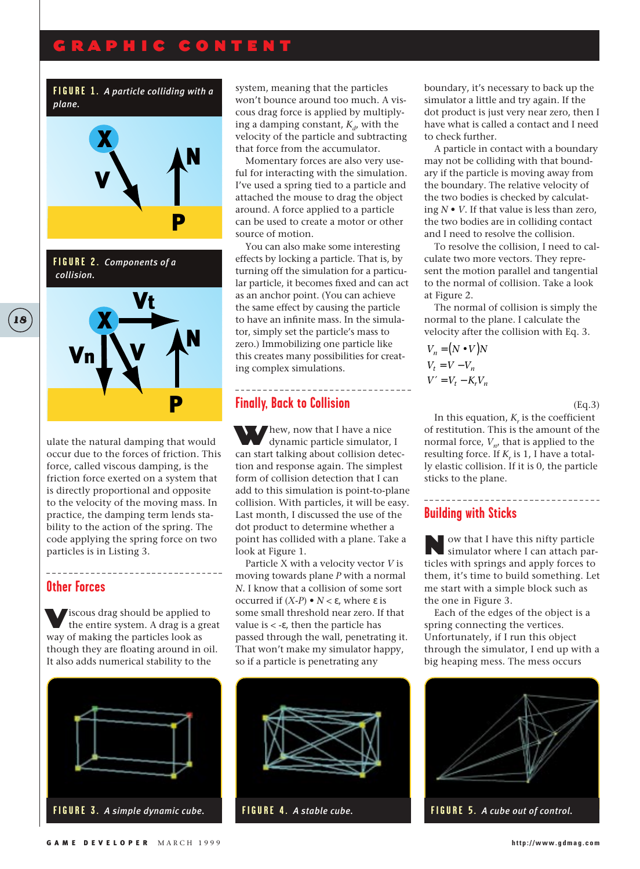# GRAPHIC CONTENT

#### **FIGURE 1.** *A particle colliding with a plane.*



**FIGURE 2.** *Components of a collision.*



ulate the natural damping that would occur due to the forces of friction. This force, called viscous damping, is the friction force exerted on a system that is directly proportional and opposite to the velocity of the moving mass. In practice, the damping term lends stability to the action of the spring. The code applying the spring force on two particles is in Listing 3.

#### **Other Forces**

Viscous drag should be applied to the entire system. A drag is a great way of making the particles look as though they are floating around in oil. It also adds numerical stability to the

-------------------------------



system, meaning that the particles won't bounce around too much. A viscous drag force is applied by multiplying a damping constant,  $K_d$ , with the velocity of the particle and subtracting that force from the accumulator.

Momentary forces are also very useful for interacting with the simulation. I've used a spring tied to a particle and attached the mouse to drag the object around. A force applied to a particle can be used to create a motor or other source of motion.

You can also make some interesting effects by locking a particle. That is, by turning off the simulation for a particular particle, it becomes fixed and can act as an anchor point. (You can achieve the same effect by causing the particle to have an infinite mass. In the simulator, simply set the particle's mass to zero.) Immobilizing one particle like this creates many possibilities for creating complex simulations.

---------------

# **Finally, Back to Collision**

Whew, now that I have a nice dynamic particle simulator, I can start talking about collision detection and response again. The simplest form of collision detection that I can add to this simulation is point-to-plane collision. With particles, it will be easy. Last month, I discussed the use of the dot product to determine whether a point has collided with a plane. Take a look at Figure 1.

Particle X with a velocity vector *V* is moving towards plane *P* with a normal *N*. I know that a collision of some sort occurred if (*X*-*P*) • *N* < ε, where ε is some small threshold near zero. If that value is < -ε, then the particle has passed through the wall, penetrating it. That won't make my simulator happy, so if a particle is penetrating any



boundary, it's necessary to back up the simulator a little and try again. If the dot product is just very near zero, then I have what is called a contact and I need to check further.

A particle in contact with a boundary may not be colliding with that boundary if the particle is moving away from the boundary. The relative velocity of the two bodies is checked by calculating *N* • *V*. If that value is less than zero, the two bodies are in colliding contact and I need to resolve the collision.

To resolve the collision, I need to calculate two more vectors. They represent the motion parallel and tangential to the normal of collision. Take a look at Figure 2.

The normal of collision is simply the normal to the plane. I calculate the velocity after the collision with Eq. 3.

$$
V_n = (N \bullet V)N
$$
  
\n
$$
V_t = V - V_n
$$
  
\n
$$
V' = V_t - K_r V_n
$$

(Eq.3)

. . . . . . . . . . . . . . . . . . .

In this equation,  $K<sub>r</sub>$  is the coefficient of restitution. This is the amount of the normal force,  $V_{n}$ , that is applied to the resulting force. If  $K_r$  is 1, I have a totally elastic collision. If it is 0, the particle sticks to the plane.

# **Building with Sticks**

Now that I have this nifty particle simulator where I can attach particles with springs and apply forces to them, it's time to build something. Let me start with a simple block such as the one in Figure 3.

Each of the edges of the object is a spring connecting the vertices. Unfortunately, if I run this object through the simulator, I end up with a big heaping mess. The mess occurs